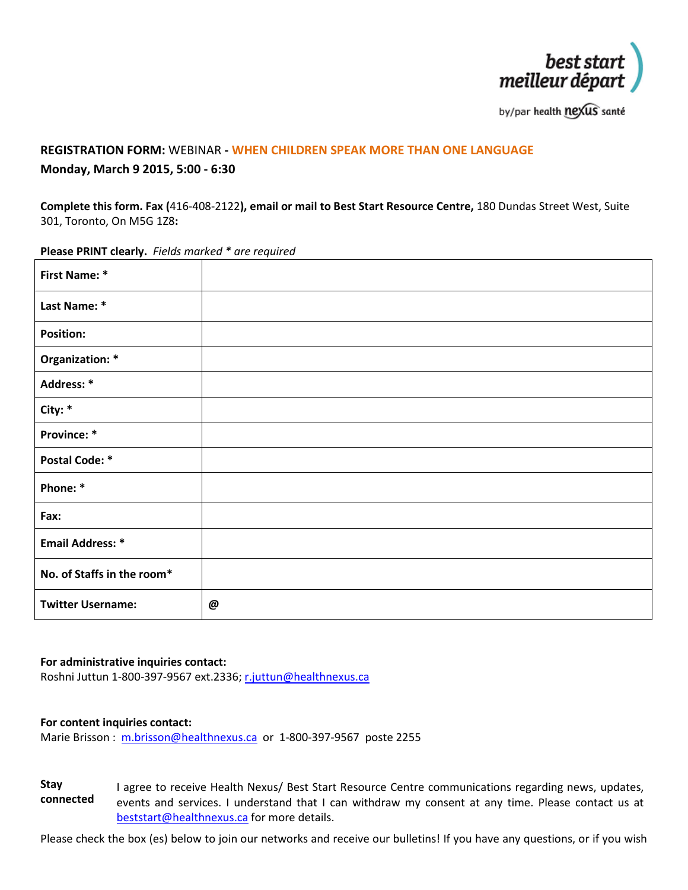

by/par health nexus santé

## **REGISTRATION FORM:** WEBINAR **- WHEN CHILDREN SPEAK MORE THAN ONE LANGUAGE Monday, March 9 2015, 5:00 - 6:30**

**Complete this form. Fax (**416-408-2122**), email or mail to Best Start Resource Centre,** 180 Dundas Street West, Suite 301, Toronto, On M5G 1Z8**:**

**First Name: \* Last Name: \* Position: Organization: \* Address: \* City: \* Province: \* Postal Code: \* Phone: \* Fax: Email Address: \* No. of Staffs in the room\* Twitter Username: @**

**Please PRINT clearly.** *Fields marked \* are required*

## **For administrative inquiries contact:**

Roshni Juttun 1-800-397-9567 ext.2336[; r.juttun@healthnexus.ca](mailto:r.juttun@healthnexus.ca)

## **For content inquiries contact:**

Marie Brisson : [m.brisson@healthnexus.ca](mailto:m.brisson@healthnexus.ca) or 1-800-397-9567 poste 2255

**Stay connected** I agree to receive Health Nexus/ Best Start Resource Centre communications regarding news, updates, events and services. I understand that I can withdraw my consent at any time. Please contact us at [beststart@healthnexus.ca](mailto:beststart@healthnexus.ca) for more details.

Please check the box (es) below to join our networks and receive our bulletins! If you have any questions, or if you wish